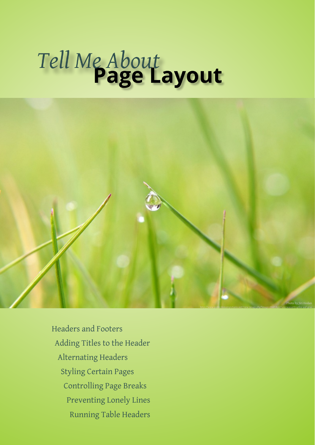# **Page Layout** *Tell Me About*



[Headers and Footers](#page-1-0) [Adding Titles to the Header](#page-2-0) [Alternating Headers](#page-3-0) [Styling Certain Pages](#page-4-0) [Controlling Page Breaks](#page-7-0) [Preventing Lonely Lines](#page-8-0) [Running Table Headers](#page-9-0)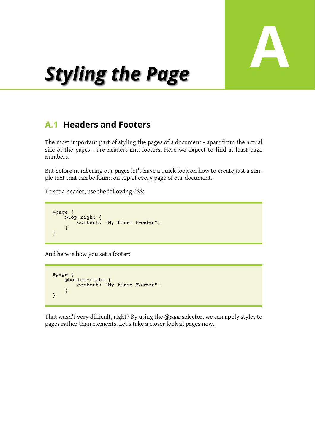

# **A** *Styling the Page*

# <span id="page-1-0"></span>**A.1 Headers and Footers**

The most important part of styling the pages of a document - apart from the actual size of the pages - are headers and footers. Here we expect to find at least page numbers.

But before numbering our pages let's have a quick look on how to create just a simple text that can be found on top of every page of our document.

To set a header, use the following CSS:

```
@page {
 @top-right {
 content: "My first Header";
    }
}
```
And here is how you set a footer:

```
@page {
    @bottom-right {
        content: "My first Footer";
     }
}
```
That wasn't very difficult, right? By using the *@page* selector, we can apply styles to pages rather than elements. Let's take a closer look at pages now.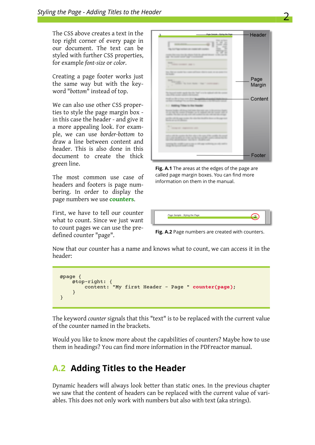The CSS above creates a text in the top right corner of every page in our document. The text can be styled with further CSS properties, for example *font-size* or *color*.

Creating a page footer works just the same way but with the keyword "*bottom*" instead of top.

We can also use other CSS properties to style the page margin box in this case the header - and give it a more appealing look. For example, we can use *border-bottom* to draw a line between content and header. This is also done in this document to create the thick green line.

The most common use case of headers and footers is page numbering. In order to display the page numbers we use **counters**.

First, we have to tell our counter what to count. Since we just want to count pages we can use the predefined counter "page".



**Fig. A.1** The areas at the edges of the page are called page margin boxes. You can find more information on them in the manual.

| Page Sample - Styling the Page |
|--------------------------------|
|--------------------------------|

**Fig. A.2** Page numbers are created with counters.

Now that our counter has a name and knows what to count, we can access it in the header:

```
@page {
 @top-right: {
 content: "My first Header - Page " counter(page);
 }
}
```
The keyword *counter* signals that this "text" is to be replaced with the current value of the counter named in the brackets.

Would you like to know more about the capabilities of counters? Maybe how to use them in headings? You can find more information in the PDFreactor manual.

## <span id="page-2-0"></span>**A.2 Adding Titles to the Header**

Dynamic headers will always look better than static ones. In the previous chapter we saw that the content of headers can be replaced with the current value of variables. This does not only work with numbers but also with text (aka strings).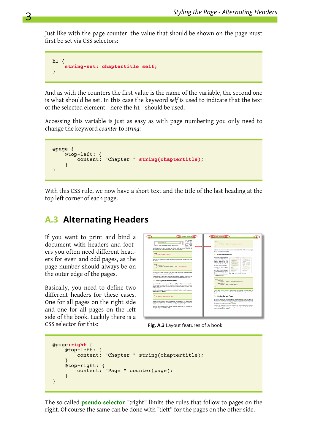Just like with the page counter, the value that should be shown on the page must first be set via CSS selectors:

```
h1 {
     string-set: chaptertitle self;
}
```
And as with the counters the first value is the name of the variable, the second one is what should be set. In this case the keyword *self* is used to indicate that the text of the selected element - here the h1 - should be used.

Accessing this variable is just as easy as with page numbering you only need to change the keyword *counter* to *string*:

```
@page {
     @top-left: {
        content: "Chapter " string(chaptertitle);
     }
}
```
With this CSS rule, we now have a short text and the title of the last heading at the top left corner of each page.

# <span id="page-3-0"></span>**A.3 Alternating Headers**

If you want to print and bind a document with headers and footers you often need different headers for even and odd pages, as the page number should always be on the outer edge of the pages.

Basically, you need to define two different headers for these cases. One for all pages on the right side and one for all pages on the left side of the book. Luckily there is a CSS selector for this:



**Fig. A.3** Layout features of a book

```
@page:right {
    @top-left: {
        content: "Chapter " string(chaptertitle);
 }
 @top-right: {
 content: "Page " counter(page);
    }
}
```
The so called **pseudo selector** ":right" limits the rules that follow to pages on the right. Of course the same can be done with ":left" for the pages on the other side.

3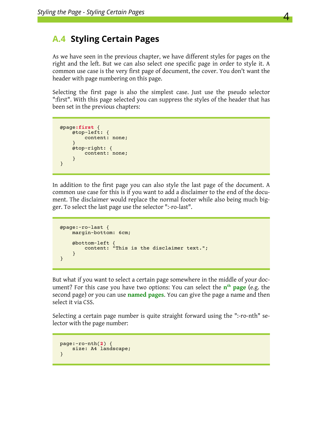## <span id="page-4-0"></span>**A.4 Styling Certain Pages**

As we have seen in the previous chapter, we have different styles for pages on the right and the left. But we can also select one specific page in order to style it. A common use case is the very first page of document, the cover. You don't want the header with page numbering on this page.

Selecting the first page is also the simplest case. Just use the pseudo selector ":first". With this page selected you can suppress the styles of the header that has been set in the previous chapters:

```
@page:first {
    @top-left: {
        content: none;
    }
 @top-right: {
content: none;
    }
}
```
In addition to the first page you can also style the last page of the document. A common use case for this is if you want to add a disclaimer to the end of the document. The disclaimer would replace the normal footer while also being much bigger. To select the last page use the selector ":-ro-last".

```
@page:-ro-last {
    margin-bottom: 6cm;
 @bottom-left {
 content: "This is the disclaimer text.";
    }
}
```
But what if you want to select a certain page somewhere in the middle of your document? For this case you have two options: You can select the  $\mathbf{n}^{\text{th}}$  **page** (e.g. the second page) or you can use **named pages**. You can give the page a name and then select it via CSS.

Selecting a certain page number is quite straight forward using the ":-ro-nth" selector with the page number:

```
page:-ro-nth(2) {
    size: A4 landscape;
}
```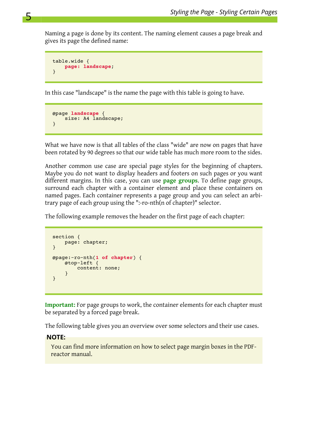Naming a page is done by its content. The naming element causes a page break and gives its page the defined name:

```
table.wide {
    page: landscape;
}
```
5

In this case "landscape" is the name the page with this table is going to have.

```
@page landscape {
   size: A4 landscape;
}
```
What we have now is that all tables of the class "wide" are now on pages that have been rotated by 90 degrees so that our wide table has much more room to the sides.

Another common use case are special page styles for the beginning of chapters. Maybe you do not want to display headers and footers on such pages or you want different margins. In this case, you can use **page groups**. To define page groups, surround each chapter with a container element and place these containers on named pages. Each container represents a page group and you can select an arbitrary page of each group using the ":-ro-nth(n of chapter)" selector.

The following example removes the header on the first page of each chapter:

```
section {
    page: chapter;
}
@page:-ro-nth(1 of chapter) {
     @top-left {
         content: none;
     }
}
```
**Important:** For page groups to work, the container elements for each chapter must be separated by a forced page break.

The following table gives you an overview over some selectors and their use cases.

#### **NOTE:**

You can find more information on how to select page margin boxes in the PDFreactor manual.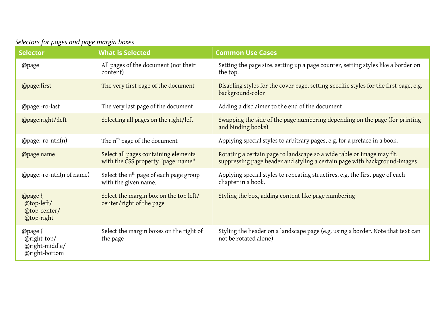| Selectors for pages and page margin boxes |  |
|-------------------------------------------|--|
|-------------------------------------------|--|

| <b>Selector</b>                                                                          | <b>What is Selected</b>                                                    | <b>Common Use Cases</b>                                                                                                                             |
|------------------------------------------------------------------------------------------|----------------------------------------------------------------------------|-----------------------------------------------------------------------------------------------------------------------------------------------------|
| @page                                                                                    | All pages of the document (not their<br>content)                           | Setting the page size, setting up a page counter, setting styles like a border on<br>the top.                                                       |
| The very first page of the document<br>@page:first<br>background-color                   |                                                                            | Disabling styles for the cover page, setting specific styles for the first page, e.g.                                                               |
| @page:-ro-last                                                                           | The very last page of the document                                         | Adding a disclaimer to the end of the document                                                                                                      |
| @page:right/:left                                                                        | Selecting all pages on the right/left                                      | Swapping the side of the page numbering depending on the page (for printing<br>and binding books)                                                   |
| $@page: -ro-nth(n)$                                                                      | The n <sup>th</sup> page of the document                                   | Applying special styles to arbitrary pages, e.g. for a preface in a book.                                                                           |
| @page name                                                                               | Select all pages containing elements<br>with the CSS property "page: name" | Rotating a certain page to landscape so a wide table or image may fit,<br>suppressing page header and styling a certain page with background-images |
| @page:-ro-nth(n of name)                                                                 | Select the $nth$ page of each page group<br>with the given name.           | Applying special styles to repeating structires, e.g. the first page of each<br>chapter in a book.                                                  |
| $\Theta$ $\Theta$ $\Theta$<br>@top-left/<br>@top-center/<br>@top-right                   | Select the margin box on the top left/<br>center/right of the page         | Styling the box, adding content like page numbering                                                                                                 |
| $\Theta$ $\Theta$ $\Theta$ $\Theta$<br>$Q$ right-top/<br>@right-middle/<br>@right-bottom | Select the margin boxes on the right of<br>the page                        | Styling the header on a landscape page (e.g. using a border. Note that text can<br>not be rotated alone)                                            |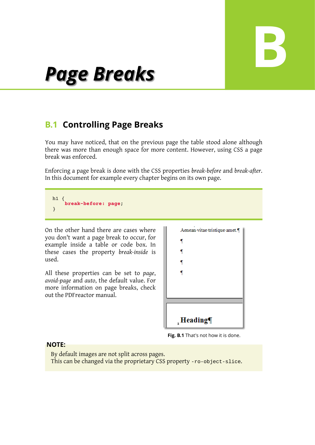# **B**

# *Page Breaks*

# <span id="page-7-0"></span>**B.1 Controlling Page Breaks**

You may have noticed, that on the previous page the table stood alone although there was more than enough space for more content. However, using CSS a page break was enforced.

Enforcing a page break is done with the CSS properties *break-before* and *break-after*. In this document for example every chapter begins on its own page.

h1 { **break-before: page**; }

On the other hand there are cases where you don't want a page break to occur, for example inside a table or code box. In these cases the property *break-inside* is used.

All these properties can be set to *page*, *avoid-page* and *auto*, the default value. For more information on page breaks, check out the PDFreactor manual.

| Aenean vitae tristique amet.¶ |
|-------------------------------|
| ſ                             |
| ſ                             |
| ¶                             |
| ¶                             |
|                               |
|                               |
|                               |
| <sub>r</sub> Heading¶         |

**Fig. B.1** That's not how it is done.

### **NOTE:**

By default images are not split across pages. This can be changed via the proprietary CSS property -ro-object-slice.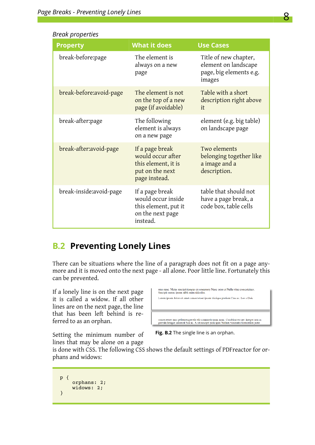| <b>Property</b>          | <b>What it does</b>                                                                             | <b>Use Cases</b>                                                                   |
|--------------------------|-------------------------------------------------------------------------------------------------|------------------------------------------------------------------------------------|
| break-before:page        | The element is<br>always on a new<br>page                                                       | Title of new chapter,<br>element on landscape<br>page, big elements e.g.<br>images |
| break-before: avoid-page | The element is not<br>on the top of a new<br>page (if avoidable)                                | Table with a short<br>description right above<br>it                                |
| break-after:page         | The following<br>element is always<br>on a new page                                             | element (e.g. big table)<br>on landscape page                                      |
| break-after: avoid-page  | If a page break<br>would occur after<br>this element, it is<br>put on the next<br>page instead. | Two elements<br>belonging together like<br>a image and a<br>description.           |
| break-inside: avoid-page | If a page break<br>would occur inside<br>this element, put it<br>on the next page<br>instead.   | table that should not<br>have a page break, a<br>code box, table cells             |

## <span id="page-8-0"></span>**B.2 Preventing Lonely Lines**

There can be situations where the line of a paragraph does not fit on a page anymore and it is moved onto the next page - all alone. Poor little line. Fortunately this can be prevented.

If a lonely line is on the next page it is called a widow. If all other lines are on the next page, the line that has been left behind is referred to as an orphan.

| mus nune. Metus suscipit tempus cu nonummy Nune enim et Nulla vitae consectetuer.<br>Suscipit cursus ipsum nibh enim ridiculus.                                                           |
|-------------------------------------------------------------------------------------------------------------------------------------------------------------------------------------------|
| Lorem ipsum dolor sit amet consectetuer ipsum tristique pretium Cras ac. Leo a Duis                                                                                                       |
|                                                                                                                                                                                           |
|                                                                                                                                                                                           |
|                                                                                                                                                                                           |
| consectetuer mus pellentesque elit elit commodo nunc nunc. Curabitur est nec Integer non ac-<br>gravida Integer cuismod Sed ac. A sit suscipit pede quis Nullam venenatis fermentum justo |

Setting the minimum number of lines that may be alone on a page

**Fig. B.2** The single line is an orphan.

is done with CSS. The following CSS shows the default settings of PDFreactor for orphans and widows:

```
p {
     orphans: 2;
     widows: 2;
}
```